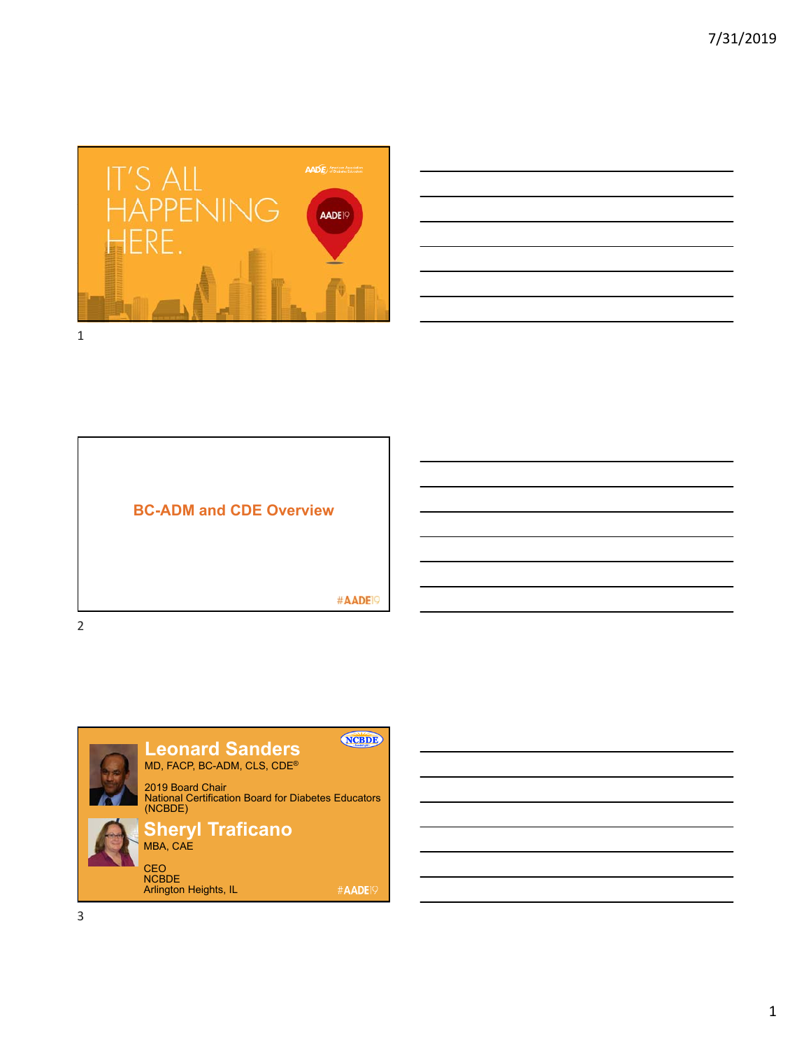





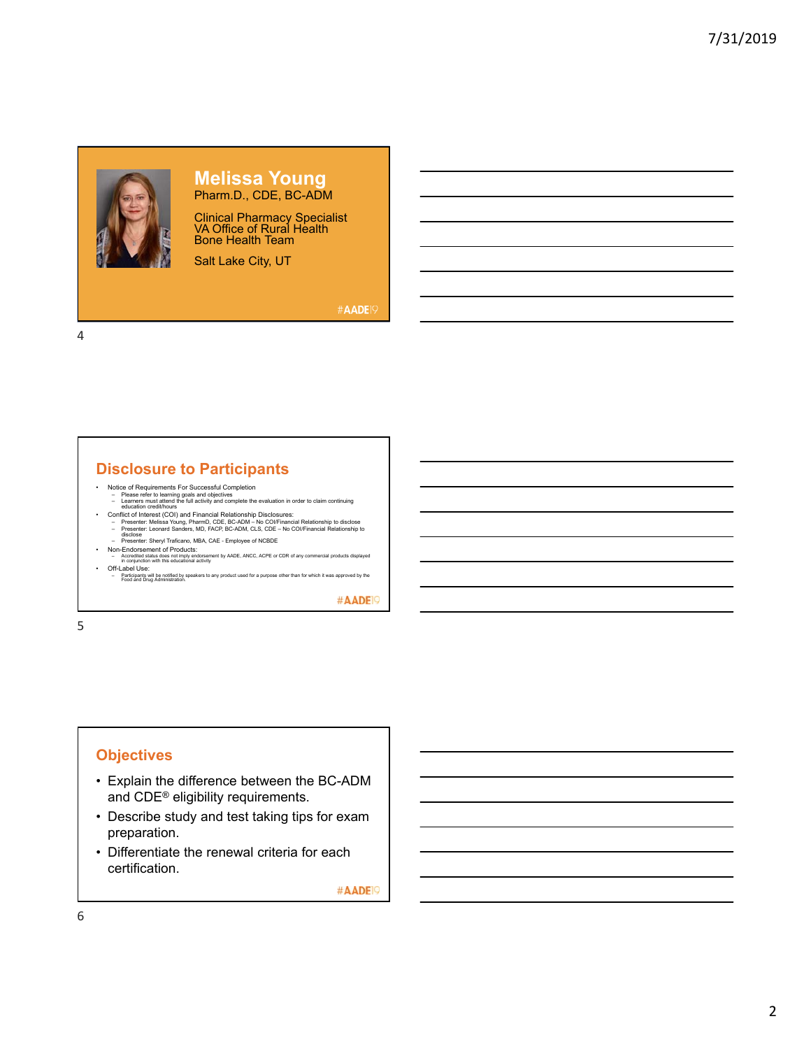

## **Melissa Young** Pharm.D., CDE, BC-ADM

Clinical Pharmacy Specialist VA Office of Rural Health Bone Health Team

Salt Lake City, UT

#AADE<sup>19</sup>

4

# **Disclosure to Participants**

- Notice of Requirements For Successful Completion
- Please refer to learning goals and objectives<br>
Learners must attend the full activity and complete the evaluation in order to claim continuing<br>
Conflict of Interest (COI)) and Financial Relationship Disclosures:<br>
P
	-
	-
	-
	-
- Off-Label Use:<br>– Participants will be notified by speakers to any product used for a purpose other than for which it was approved by the<br>Food and Drug Administration.

#AADE<sup>19</sup>

5

# **Objectives**

- Explain the difference between the BC-ADM and CDE® eligibility requirements.
- Describe study and test taking tips for exam preparation.
- Differentiate the renewal criteria for each certification.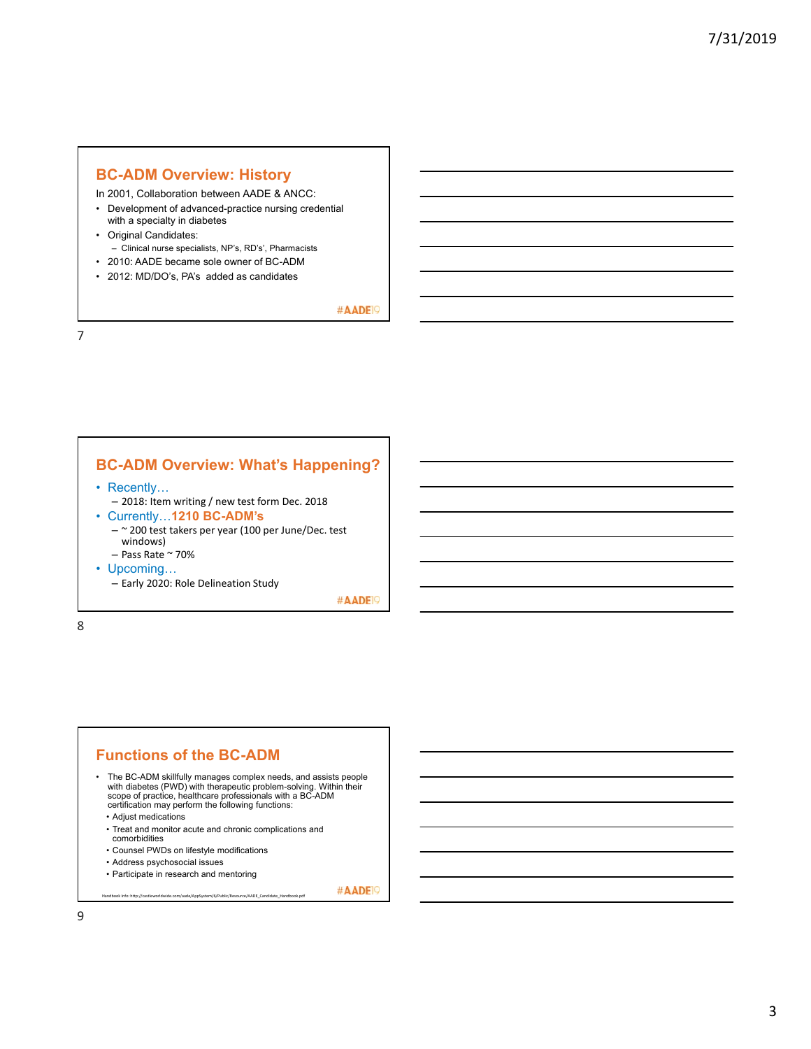## **BC-ADM Overview: History**

In 2001, Collaboration between AADE & ANCC:

- Development of advanced-practice nursing credential with a specialty in diabetes
- Original Candidates: – Clinical nurse specialists, NP's, RD's', Pharmacists
- 2010: AADE became sole owner of BC-ADM
- 2012: MD/DO's, PA's added as candidates

#AADE<sup>19</sup>

7

# **BC-ADM Overview: What's Happening?**

- Recently...
- 2018: Item writing / new test form Dec. 2018
- Currently…**1210 BC-ADM's**
	- ~ 200 test takers per year (100 per June/Dec. test windows)
	- $-$  Pass Rate  $\sim$  70%
- Upcoming…
	- Early 2020: Role Delineation Study

#AADE<sup>19</sup>

#AADE<sup>19</sup>

8

## **Functions of the BC-ADM**

- The BC-ADM skillfully manages complex needs, and assists people with diabetes (PWD) with therapeutic problem-solving. Within their<br>scope of practice, healthcare professionals with a BC-ADM<br>certification may perform the following functions:
	- Adjust medications
	- Treat and monitor acute and chronic complications and
	- comorbidities
- Counsel PWDs on lifestyle modifications • Address psychosocial issues
- Participate in research and mentoring

Handbook Info: http://castleworldwide.com/aade/AppSystem/6/Public/Resource/AADE\_Candidate\_Handbook.pdf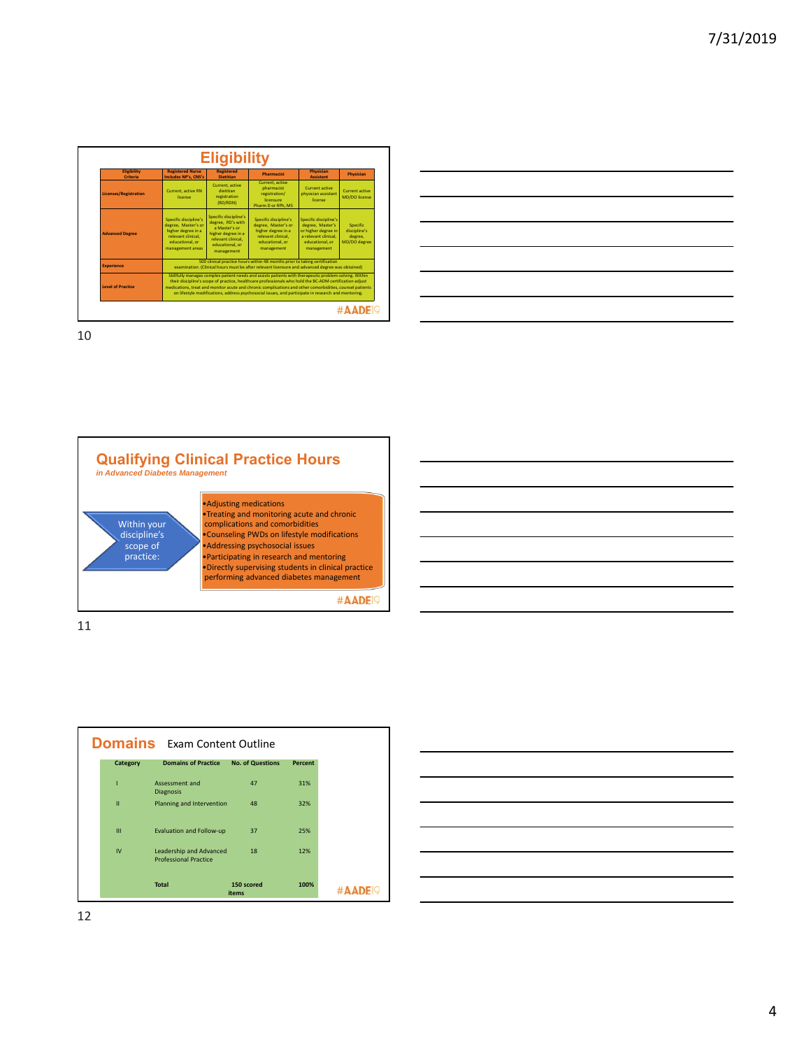| Eligibility<br><b>Criteria</b> | <b>Registered Nurse</b><br><b>Includes NP's, CNS's</b>                                                                          | <b>Registered</b><br><b>Dietitian</b>                                                                                                                                                                                                                                                                                                                                                                                                | <b>Pharmacist</b>                                                                                                         | Physician<br><b>Assistant</b>                                                                                             | Physician                                           |
|--------------------------------|---------------------------------------------------------------------------------------------------------------------------------|--------------------------------------------------------------------------------------------------------------------------------------------------------------------------------------------------------------------------------------------------------------------------------------------------------------------------------------------------------------------------------------------------------------------------------------|---------------------------------------------------------------------------------------------------------------------------|---------------------------------------------------------------------------------------------------------------------------|-----------------------------------------------------|
| <b>Licenses/Registration</b>   | Current, active RN<br>license                                                                                                   | Current, active<br>dietitian<br>registration<br>(RD/RDN)                                                                                                                                                                                                                                                                                                                                                                             | Current, active<br>pharmacist<br>registration/<br>licensure<br>Pharm D or RPh. MS                                         | Current active<br>physician assistant<br>license                                                                          | Current active<br>MD/DO license                     |
| <b>Advanced Degree</b>         | Specific discipline's<br>degree. Master's or<br>higher degree in a<br>relevant clinical.<br>educational, or<br>management areas | Specific discipline's<br>degree. RD's with<br>a Master's or<br>higher degree in a<br>relevant clinical.<br>educational, or<br>management                                                                                                                                                                                                                                                                                             | Specific discipline's<br>degree. Master's or<br>higher degree in a<br>relevant clinical.<br>educational, or<br>management | Specific discipline's<br>degree, Master's<br>or higher degree in<br>a relevant clinical.<br>educational, or<br>management | Specific<br>discipline's<br>degree.<br>MD/DO degree |
| <b>Experience</b>              |                                                                                                                                 | 500 clinical practice hours within 48 months prior to taking certification<br>examination. (Clinical hours must be after relevant licensure and advanced degree was obtained)                                                                                                                                                                                                                                                        |                                                                                                                           |                                                                                                                           |                                                     |
| <b>Level of Practice</b>       |                                                                                                                                 | Skillfully manages complex patient needs and assists patients with therapeutic problem-solving. Within<br>their discipline's scope of practice, healthcare professionals who hold the BC-ADM certification adjust<br>medications, treat and monitor acute and chronic complications and other comorbidities, counsel patients<br>on lifestyle modifications, address psychosocial issues, and participate in research and mentoring. |                                                                                                                           |                                                                                                                           |                                                     |



11



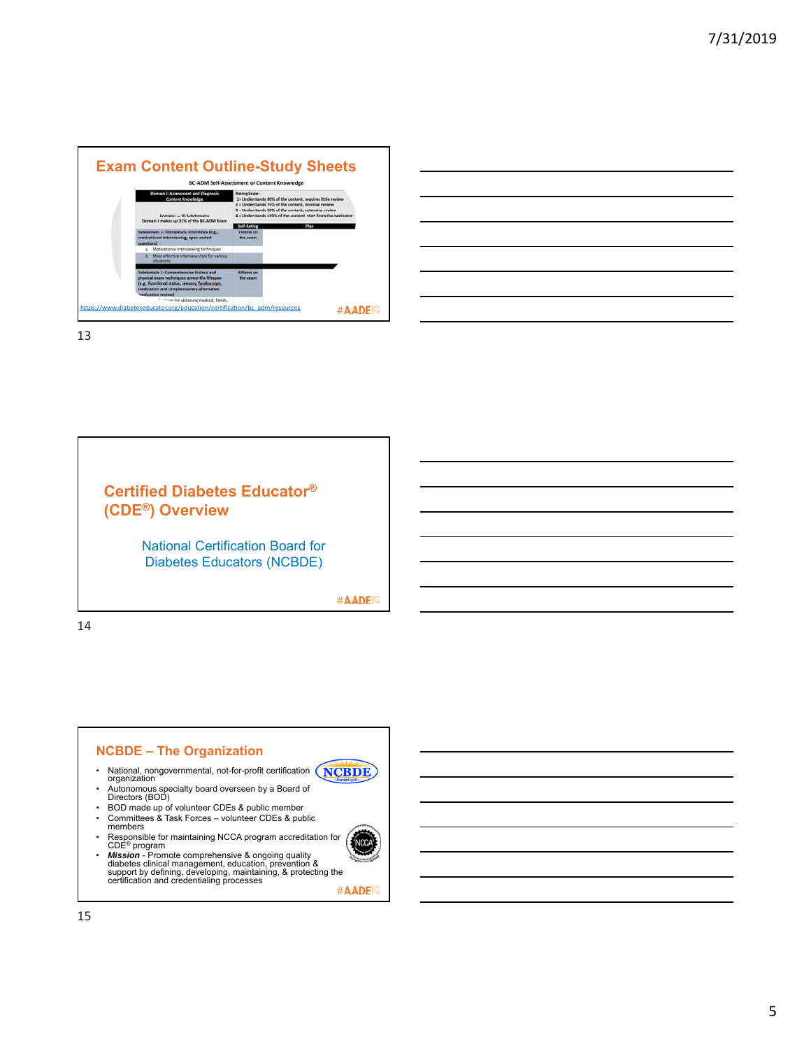



# **Certified Diabetes Educator® (CDE®) Overview**

National Certification Board for Diabetes Educators (NCBDE)

#AADE<sup>19</sup>

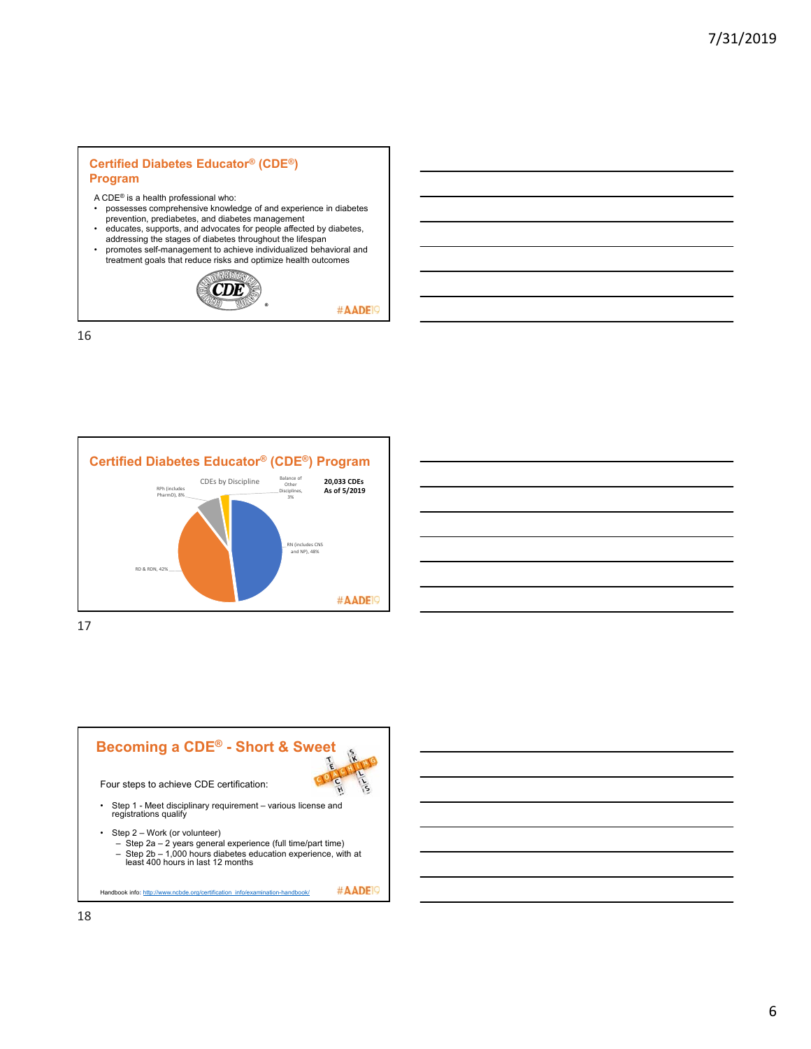## **Certified Diabetes Educator® (CDE®) Program**

- A CDE® is a health professional who:
- possesses comprehensive knowledge of and experience in diabetes prevention, prediabetes, and diabetes management
- 
- educates, supports, and advocates for people affected by diabetes,<br>addressing the stages of diabetes throughout the lifespan<br>promotes self-management to achieve individualized behavioral and<br>treatment goals that reduce r



#AADE<sup>19</sup>





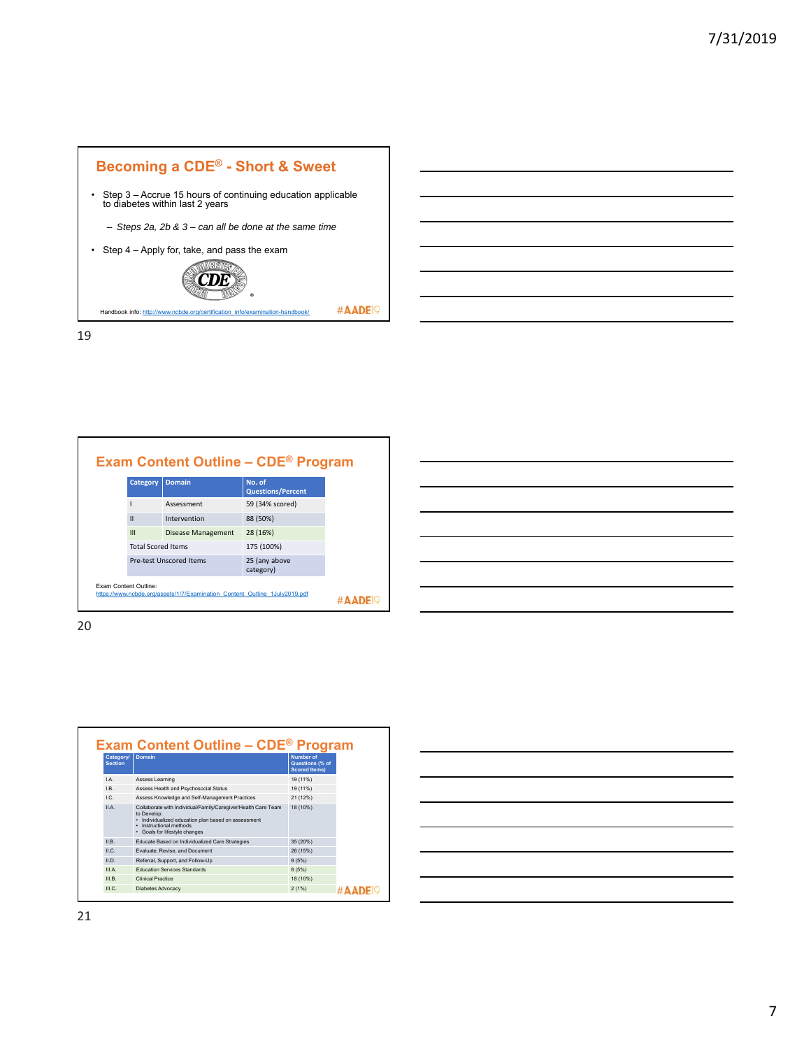

|  |  | <b>Exam Content Outline - CDE<sup>®</sup> Program</b> |
|--|--|-------------------------------------------------------|
|--|--|-------------------------------------------------------|

| <b>Category</b>              | <b>Domain</b>                                                              | No. of<br><b>Questions/Percent</b> |
|------------------------------|----------------------------------------------------------------------------|------------------------------------|
|                              | Assessment                                                                 | 59 (34% scored)                    |
| $\mathbf{I}$                 | Intervention                                                               | 88 (50%)                           |
| $\mathbf{III}$               | Disease Management                                                         | 28 (16%)                           |
| <b>Total Scored Items</b>    |                                                                            | 175 (100%)                         |
|                              | <b>Pre-test Unscored Items</b>                                             | 25 (any above<br>category)         |
| <b>Exam Content Outline:</b> | https://www.ncbde.org/assets/1/7/Examination Content Outline 1July2019.pdf |                                    |

| Category/<br><b>Section</b> | <b>Domain</b>                                                                                                                                                                                 | Number of<br>Questions (% of<br><b>Scored Items)</b> |
|-----------------------------|-----------------------------------------------------------------------------------------------------------------------------------------------------------------------------------------------|------------------------------------------------------|
| $\overline{A}$              | Assess Learning                                                                                                                                                                               | 19 (11%)                                             |
| IB.                         | Assess Health and Psychosocial Status                                                                                                                                                         | 19 (11%)                                             |
| $\overline{C}$              | Assess Knowledge and Self-Management Practices                                                                                                                                                | 21 (12%)                                             |
| II A                        | Collaborate with Individual/Family/Caregiver/Health Care Team<br>to Develop:<br>· Individualized education plan based on assessment<br>Instructional methods<br>• Goals for lifestyle changes | 18 (10%)                                             |
| II <sub>B</sub>             | Educate Based on Individualized Care Strategies                                                                                                                                               | 35 (20%)                                             |
| ILC.                        | Evaluate, Revise, and Document                                                                                                                                                                | 26 (15%)                                             |
| II.D.                       | Referral, Support, and Follow-Up                                                                                                                                                              | 9(5%)                                                |
| III A                       | <b>Education Services Standards</b>                                                                                                                                                           | 8(5%)                                                |
| III B                       | Clinical Practice                                                                                                                                                                             | 18 (10%)                                             |
| III C                       | <b>Diabetes Advocacy</b>                                                                                                                                                                      | 2(1%)                                                |

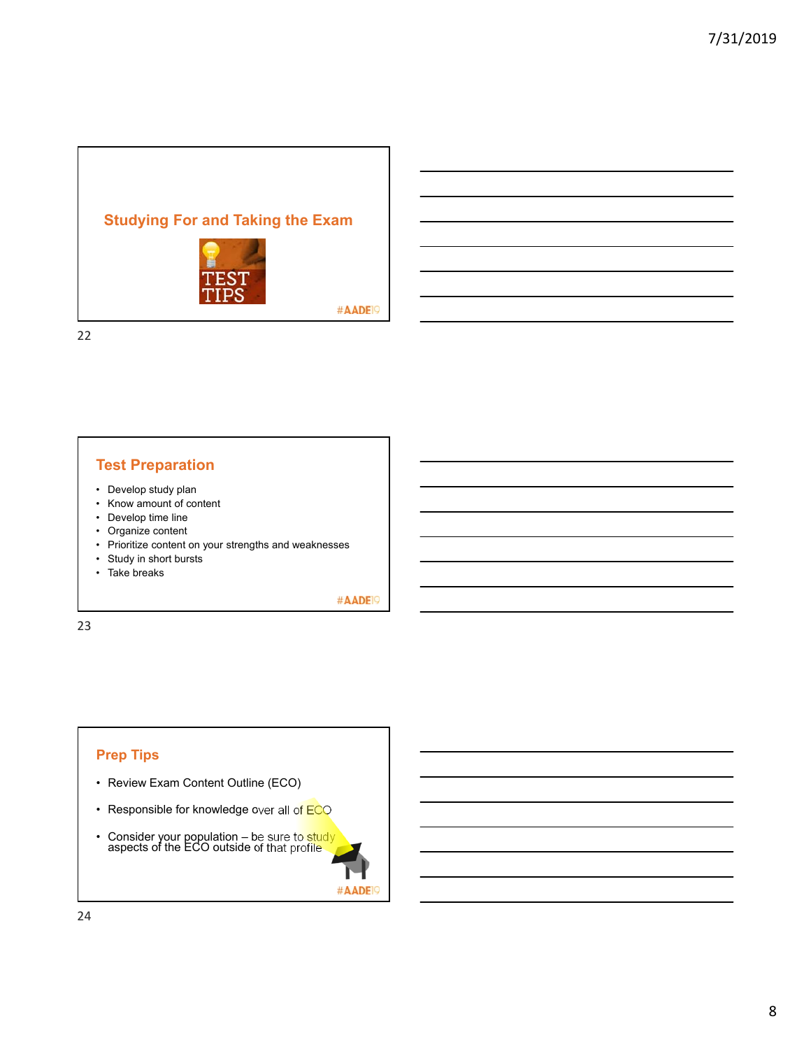# **Studying For and Taking the Exam**



#AADE<sup>19</sup>

22

# **Test Preparation**

- Develop study plan
- Know amount of content
- Develop time line
- Organize content
- Prioritize content on your strengths and weaknesses
- Study in short bursts
- Take breaks

#AADE<sup>19</sup>

#AADE<sup>19</sup>

23

# **Prep Tips**

- Review Exam Content Outline (ECO)
- Responsible for knowledge over all of ECO
- Consider your population be sure to study aspects of the ECO outside of that profile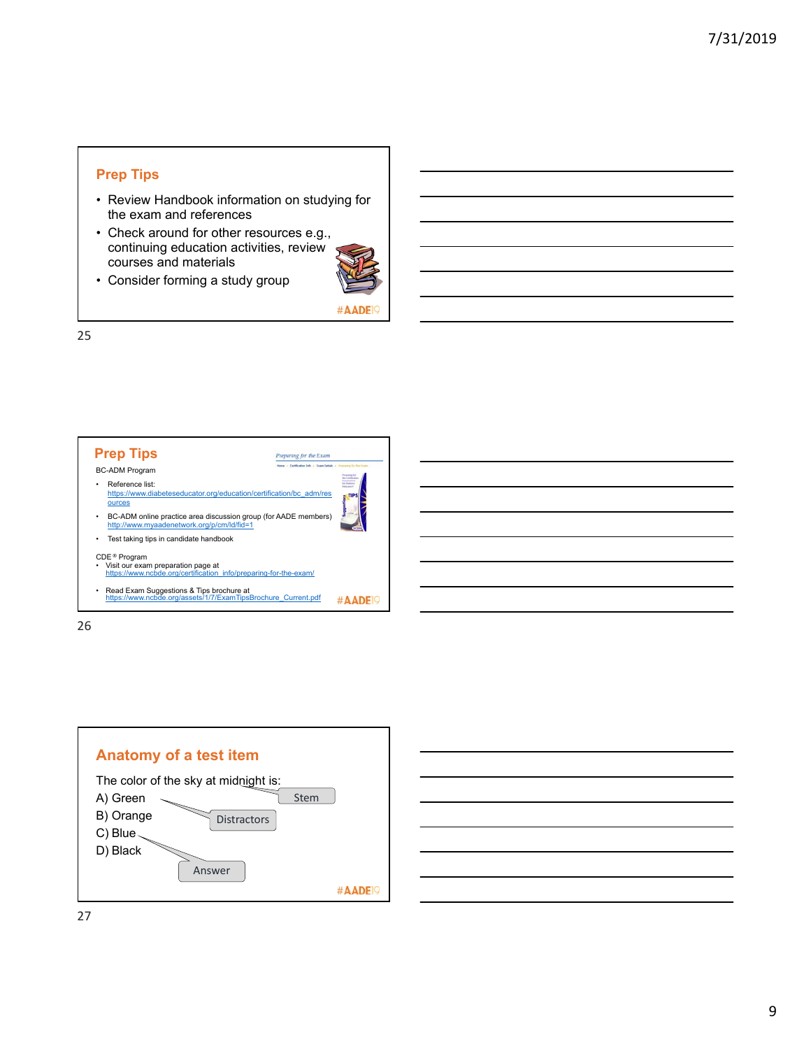## **Prep Tips**

- Review Handbook information on studying for the exam and references
- Check around for other resources e.g., continuing education activities, review courses and materials



• Consider forming a study group

#AADE

25



26

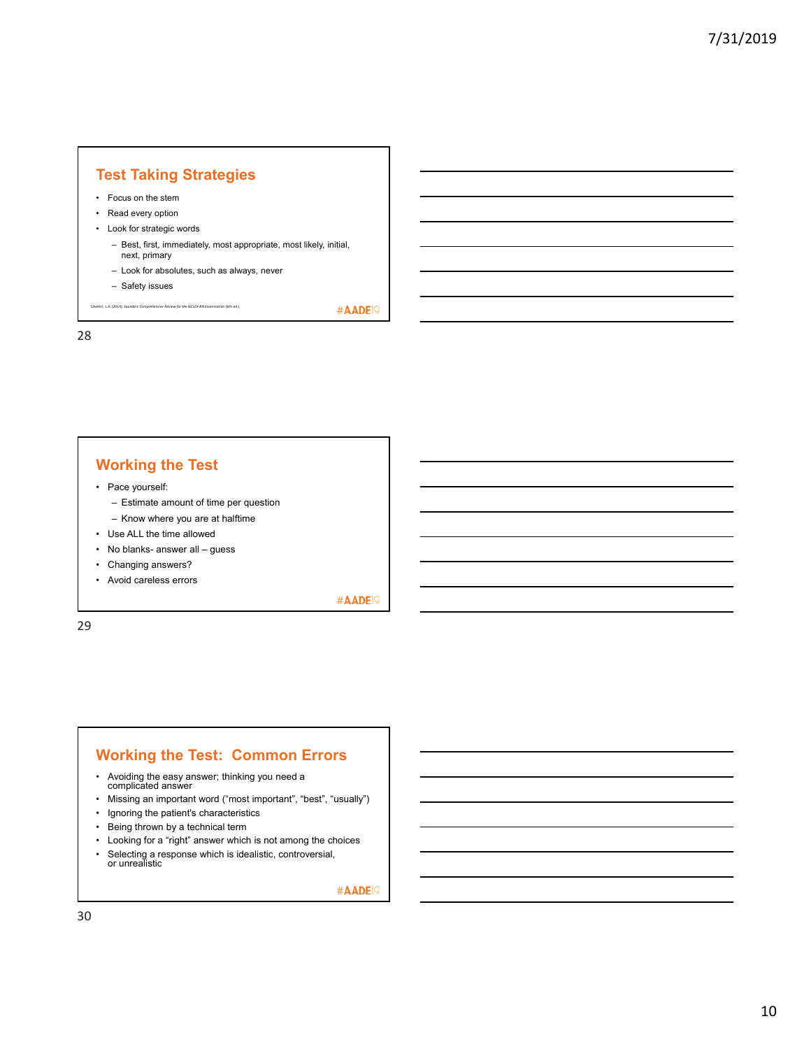# **Test Taking Strategies**

- Focus on the stem
- Read every option
- Look for strategic words
	- Best, first, immediately, most appropriate, most likely, initial, next, primary
	- Look for absolutes, such as always, never
	- Safety issues

Silvestri, L.A. (2014). *Saunders Comprehensive Review for the NCLEX‐RN Examination* (6th ed.).

28

# **Working the Test**

- Pace yourself:
	- Estimate amount of time per question
	- Know where you are at halftime
- Use ALL the time allowed
- No blanks- answer all guess
- Changing answers?
- Avoid careless errors

#AADE<sup>19</sup>

#AADE<sup>19</sup>

29

## **Working the Test: Common Errors**

- Avoiding the easy answer; thinking you need a complicated answer
- Missing an important word ("most important", "best", "usually")
- Ignoring the patient's characteristics
- Being thrown by a technical term
- Looking for a "right" answer which is not among the choices
- Selecting a response which is idealistic, controversial, or unrealistic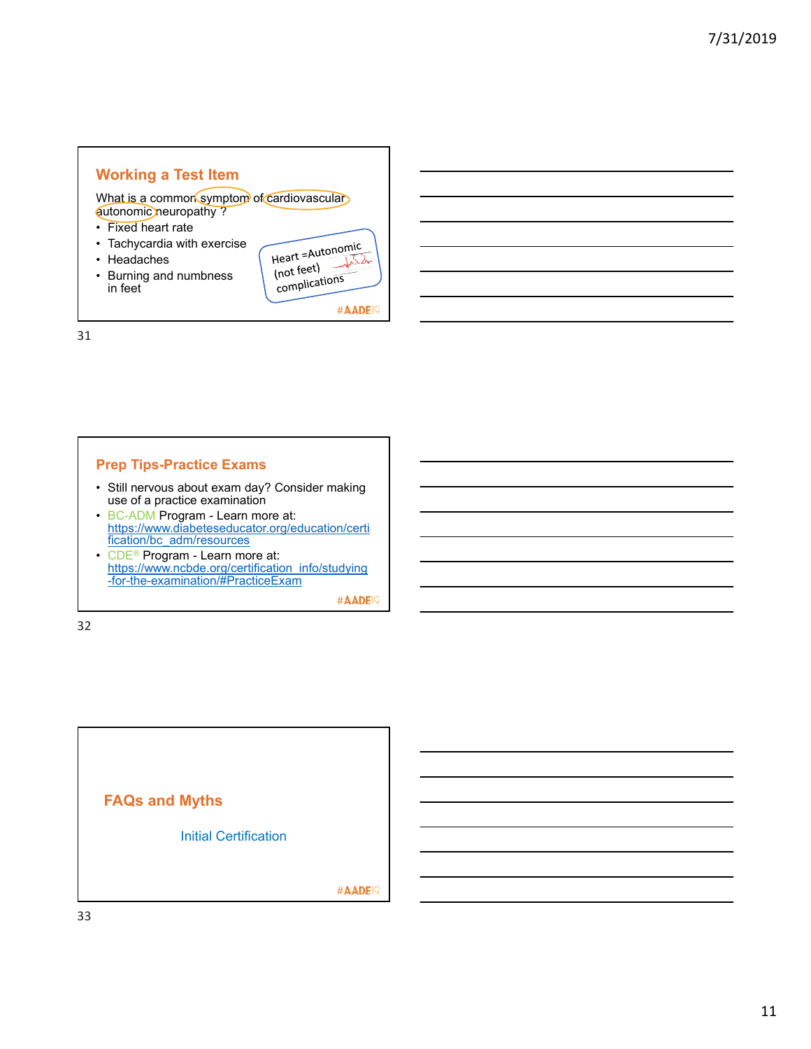# **Working a Test Item**

What is a common symptom of cardiovascular autonomic neuropathy ?

- Fixed heart rate
- Tachycardia with exercise
- Headaches
- Burning and numbness in feet

| Heart =Autonomic<br>(not feet)<br>complications |  |
|-------------------------------------------------|--|
|                                                 |  |

#AADE<sup>19</sup>

31

## **Prep Tips-Practice Exams**

- Still nervous about exam day? Consider making use of a practice examination
- BC-ADM Program Learn more at: https://www.diabeteseducator.org/education/certi fication/bc\_adm/resources
- CDE<sup>®</sup> Program Learn more at: https://www.ncbde.org/certification\_info/studying -for-the-examination/#PracticeExam

#AADE<sup>19</sup>

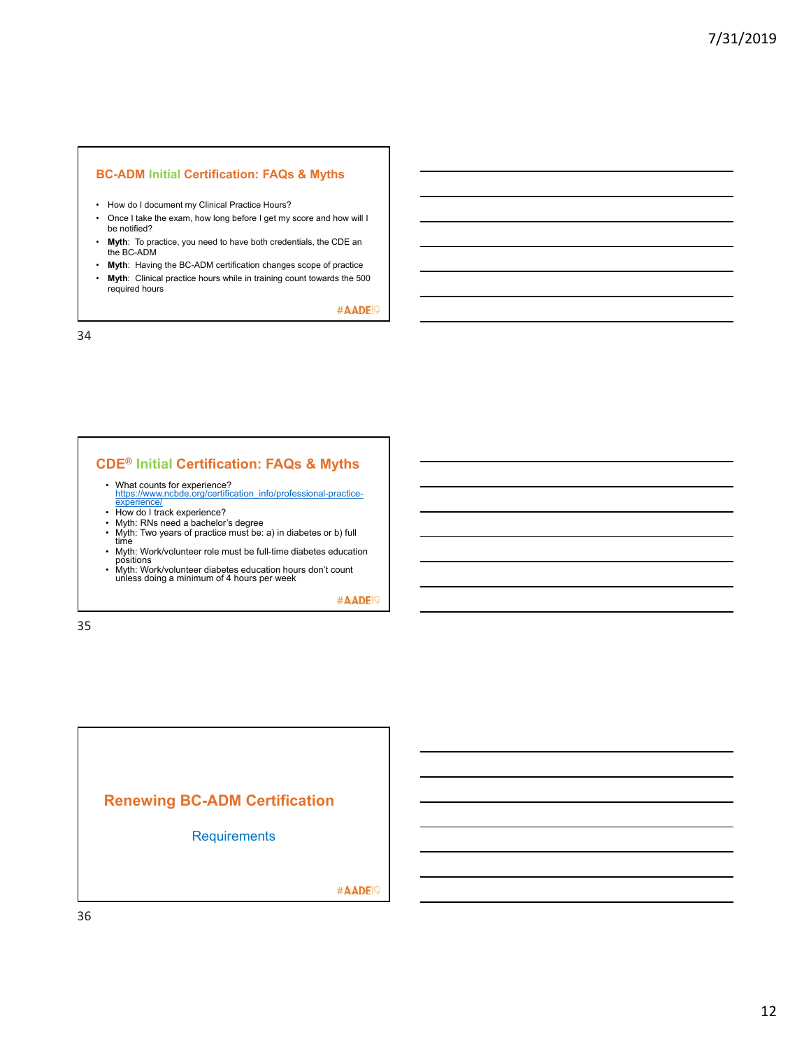#### **BC-ADM Initial Certification: FAQs & Myths**

- How do I document my Clinical Practice Hours?
- Once I take the exam, how long before I get my score and how will I be notified?
- **Myth**: To practice, you need to have both credentials, the CDE an the BC-ADM
- **Myth**: Having the BC-ADM certification changes scope of practice
- **Myth**: Clinical practice hours while in training count towards the 500 required hours

#AADE<sup>19</sup>

34

## **CDE® Initial Certification: FAQs & Myths**

- What counts for experience?<br>https://www.ncbde.org/certification\_info/professional-practice-<br>experience/
- 
- How do I track experience? Myth: RNs need a bachelor's degree
- Myth: Two years of practice must be: a) in diabetes or b) full<br>time
- Myth: Work/volunteer role must be full-time diabetes education positions Myth: Work/volunteer diabetes education hours don't count unless doing a minimum of 4 hours per week
- 

#AADE<sup>19</sup>

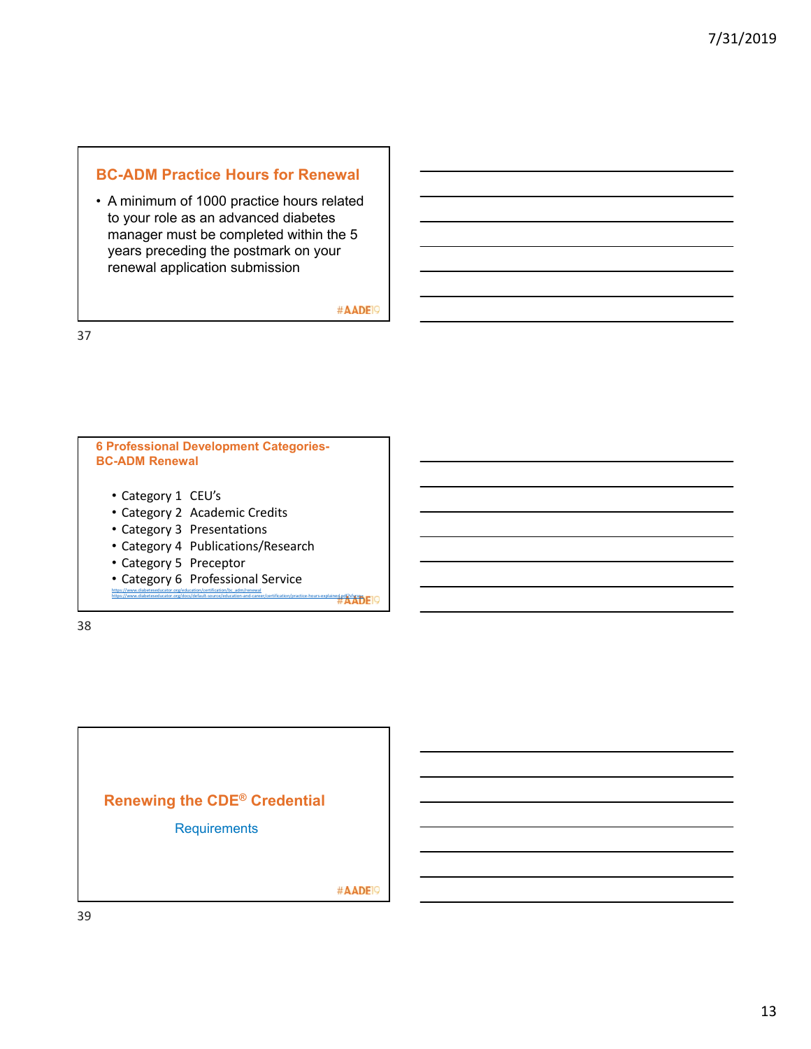# **BC-ADM Practice Hours for Renewal**

• A minimum of 1000 practice hours related to your role as an advanced diabetes manager must be completed within the 5 years preceding the postmark on your renewal application submission

#AADE<sup>19</sup>

37

# **6 Professional Development Categories-BC-ADM Renewal** • Category 1 CEU's • Category 2 Academic Credits • Category 3 Presentations • Category 4 Publications/Research • Category 5 Preceptor • Category 6 Professional Service https://www.diabeteseducator.org/education/certification/bc\_adm/renewal ed.pdf?sfwse

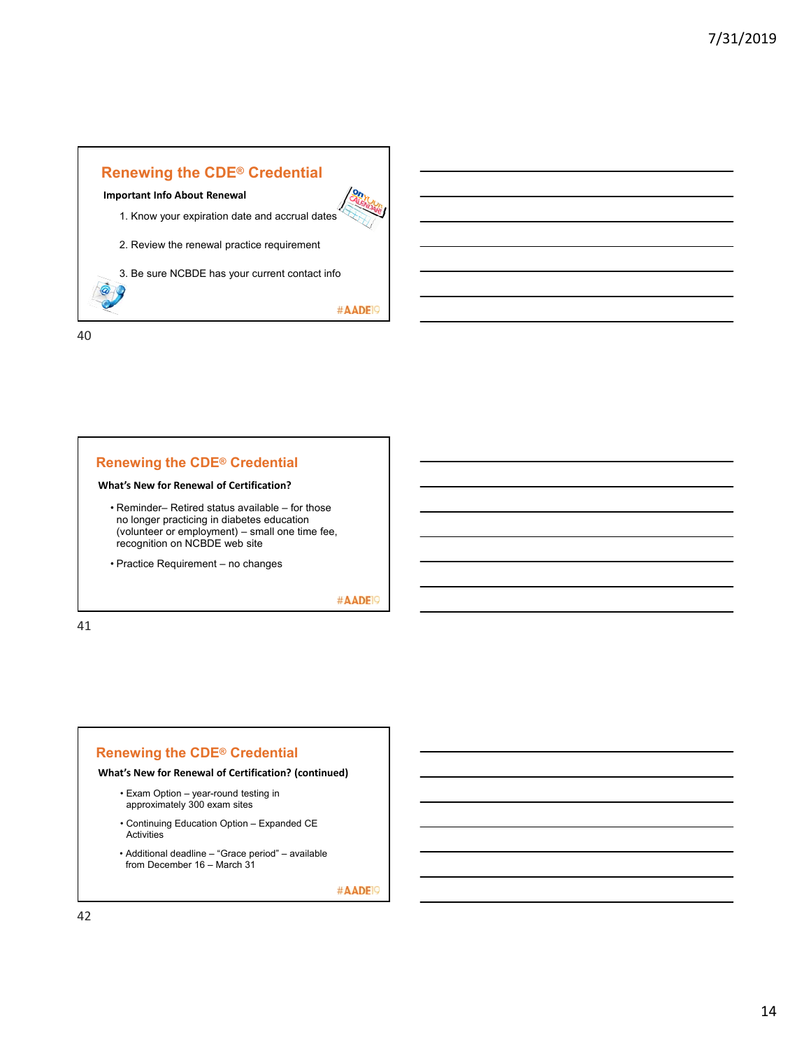

## **Renewing the CDE® Credential**

#### **What's New for Renewal of Certification?**

- Reminder– Retired status available for those no longer practicing in diabetes education (volunteer or employment) – small one time fee, recognition on NCBDE web site
- Practice Requirement no changes

#AADE<sup>19</sup>

#AADE<sup>19</sup>

41

## **Renewing the CDE® Credential**

#### **What's New for Renewal of Certification? (continued)**

- Exam Option year-round testing in approximately 300 exam sites
- Continuing Education Option Expanded CE Activities
- Additional deadline "Grace period" available from December 16 – March 31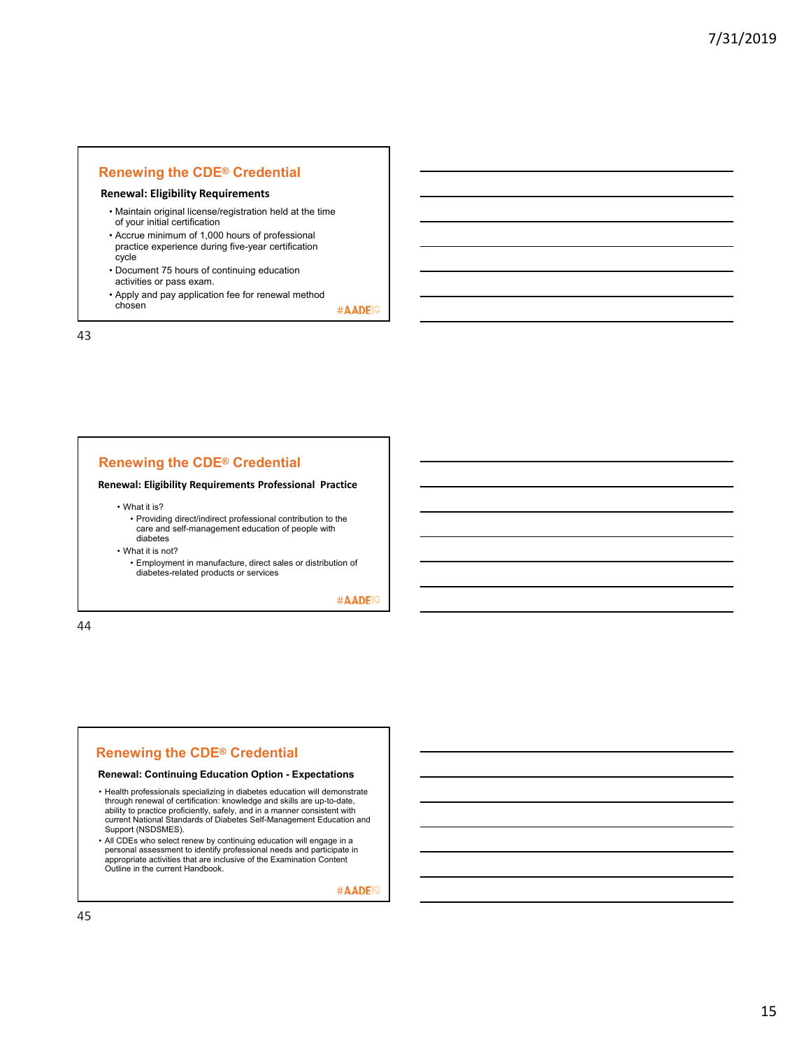## **Renewing the CDE® Credential**

#### **Renewal: Eligibility Requirements**

- Maintain original license/registration held at the time of your initial certification
- Accrue minimum of 1,000 hours of professional practice experience during five-year certification cycle
- Document 75 hours of continuing education
- activities or pass exam. • Apply and pay application fee for renewal method chosen

#AADE<sup>19</sup>

43

## **Renewing the CDE® Credential**

#### **Renewal: Eligibility Requirements Professional Practice**

• What it is?

• Providing direct/indirect professional contribution to the care and self-management education of people with diabetes

• What it is not?

• Employment in manufacture, direct sales or distribution of diabetes-related products or services

#AADE<sup>19</sup>

44

## **Renewing the CDE® Credential**

#### **Renewal: Continuing Education Option - Expectations**

- Health professionals specializing in diabetes education will demonstrate through renewal of certification: knowledge and skills are up-to-date, ability to practice proficiently, safely, and in a manner consistent with current National Standards of Diabetes Self-Management Education and Support (NSDSMES).
- All CDEs who select renew by continuing education will engage in a personal assessment to identify professional needs and participate in appropriate activities that are inclusive of the Examination Content Outline in the current Handbook.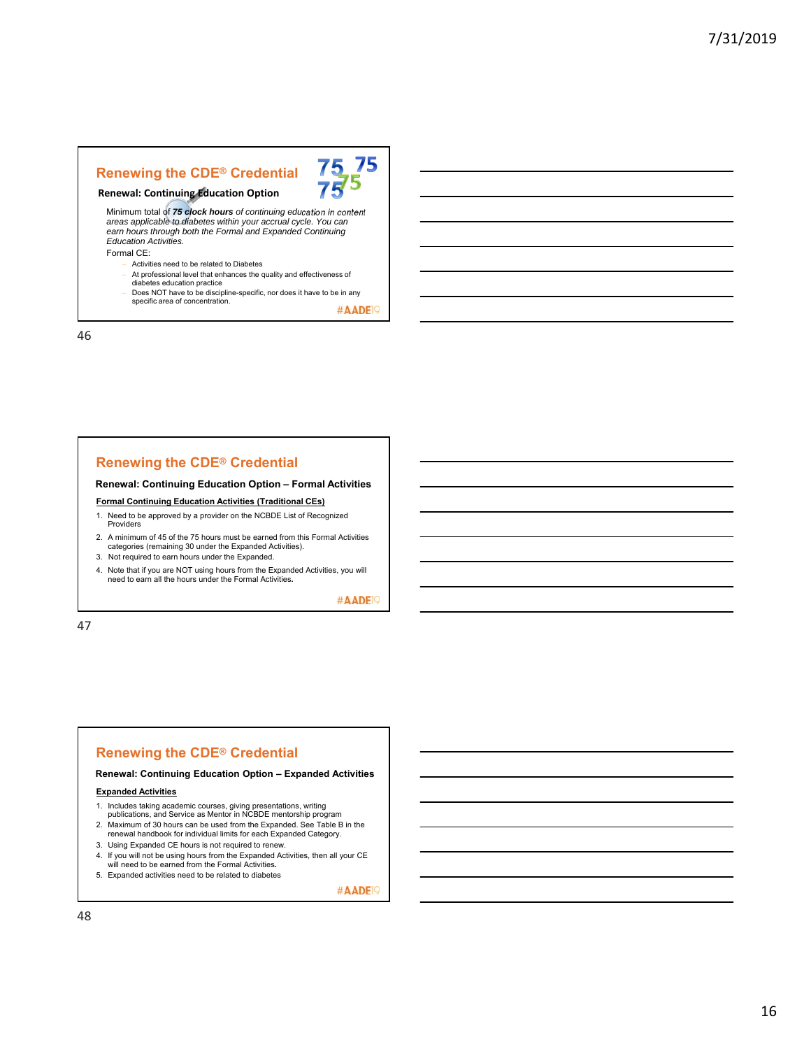## **Renewing the CDE® Credential**



# **Renewal: Continuing Education Option**

Minimum total of *75 clock hours of continuing education in content areas applicable to diabetes within your accrual cycle. You can earn hours through both the Formal and Expanded Continuing Education Activities.*

Formal CE:

- Activities need to be related to Diabetes
- At professional level that enhances the quality and effectiveness of diabetes education practice
- Does NOT have to be discipline-specific, nor does it have to be in any specific area of concentration.

#AADE<sup>19</sup>

46

## **Renewing the CDE® Credential**

**Renewal: Continuing Education Option – Formal Activities**

**Formal Continuing Education Activities (Traditional CEs)**

- 1. Need to be approved by a provider on the NCBDE List of Recognized Providers
- 2. A minimum of 45 of the 75 hours must be earned from this Formal Activities categories (remaining 30 under the Expanded Activities).
- 3. Not required to earn hours under the Expanded.
- 4. Note that if you are NOT using hours from the Expanded Activities, you will need to earn all the hours under the Formal Activities**.**

#AADE<sup>19</sup>

47

# **Renewing the CDE® Credential**

**Renewal: Continuing Education Option – Expanded Activities**

#### **Expanded Activities**

- 1. Includes taking academic courses, giving presentations, writing publications, and Service as Mentor in NCBDE mentorship program
- 
- 2. Maximum of 30 hours can be used from the Expanded. See Table B in the renewal handbook for individual limits for each Expanded Category.
- 3. Using Expanded CE hours is not required to renew.
- 4. If you will not be using hours from the Expanded Activities, then all your CE will need to be earned from the Formal Activities**.**
- 5. Expanded activities need to be related to diabetes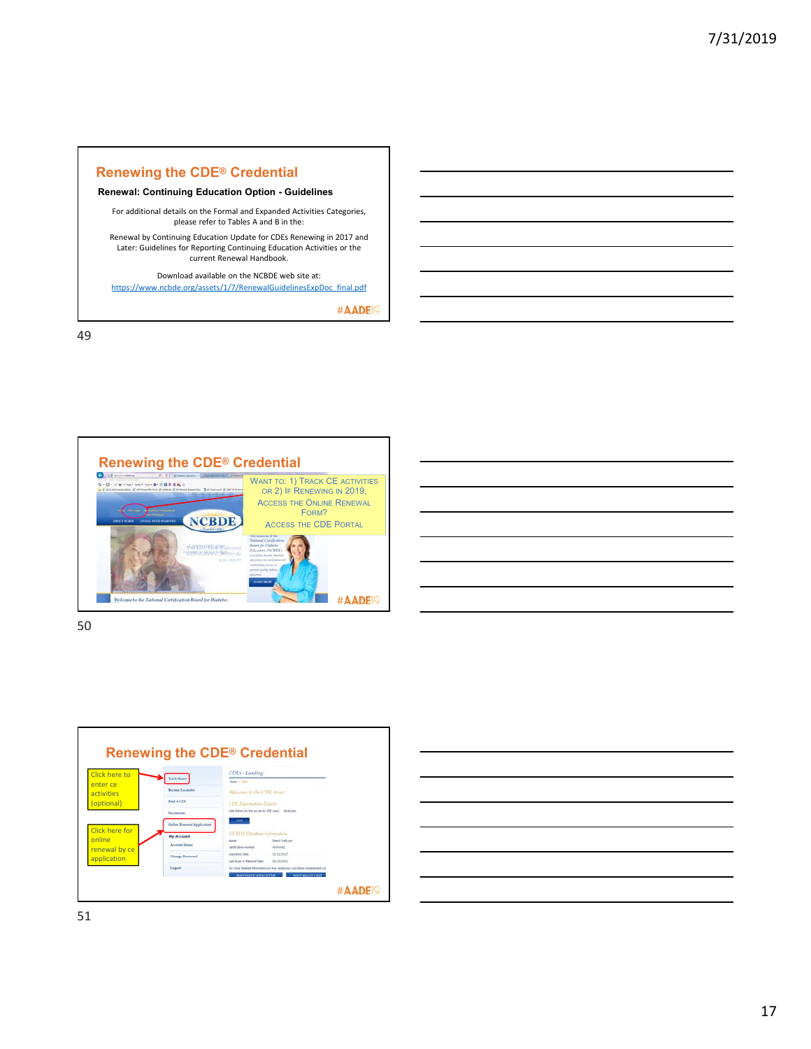## **Renewing the CDE® Credential**

**Renewal: Continuing Education Option - Guidelines**

For additional details on the Formal and Expanded Activities Categories, please refer to Tables A and B in the:

Renewal by Continuing Education Update for CDEs Renewing in 2017 and Later: Guidelines for Reporting Continuing Education Activities or the current Renewal Handbook.

Download available on the NCBDE web site at: https://www.ncbde.org/assets/1/7/RenewalGuidelinesExpDoc\_final.pdf

#AADE<sup>19</sup>

49



| $\overline{\phantom{a}}$ |                                   |
|--------------------------|-----------------------------------|
|                          | and the control of the control of |
|                          |                                   |
|                          |                                   |
|                          |                                   |
|                          |                                   |

50



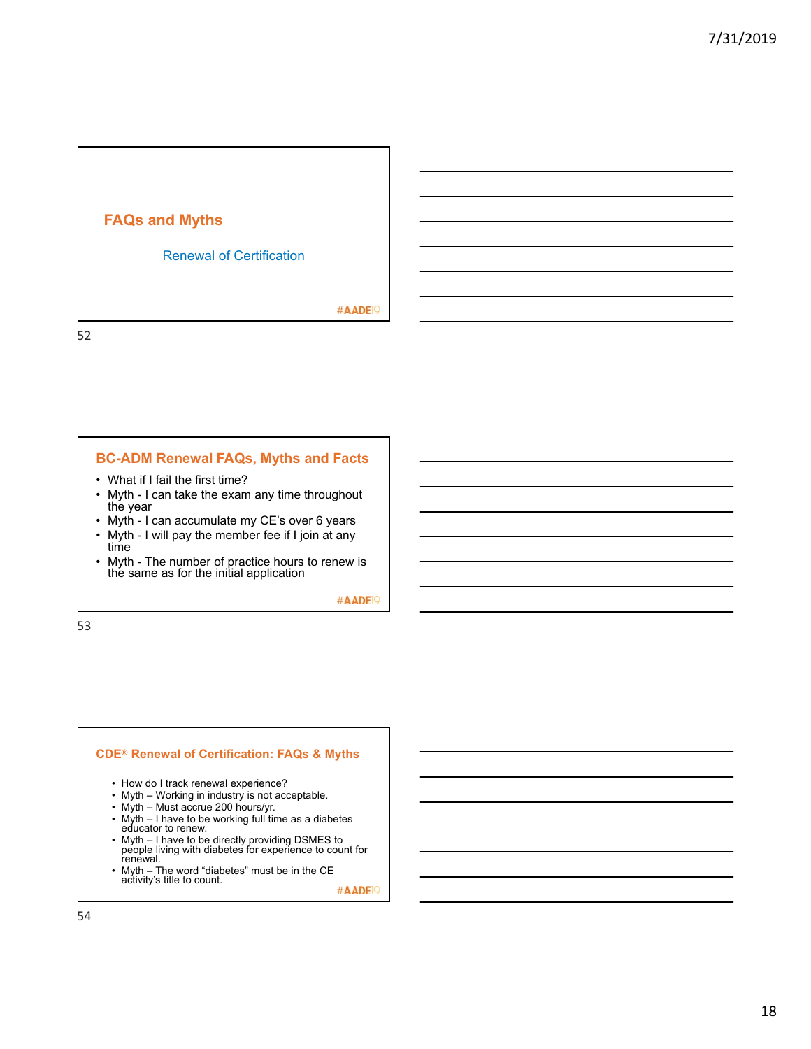

## **BC-ADM Renewal FAQs, Myths and Facts**

- What if I fail the first time?
- Myth I can take the exam any time throughout the year
- Myth I can accumulate my CE's over 6 years
- Myth I will pay the member fee if I join at any time
- Myth The number of practice hours to renew is the same as for the initial application

#AADE<sup>19</sup>

53

#### **CDE® Renewal of Certification: FAQs & Myths**

- How do I track renewal experience?
- Myth Working in industry is not acceptable.
- Myth Must accrue 200 hours/yr.
- Myth I have to be working full time as a diabetes educator to renew.
- Myth I have to be directly providing DSMES to people living with diabetes for experience to count for renewal.
- Myth The word "diabetes" must be in the CE<br>activity's title to count.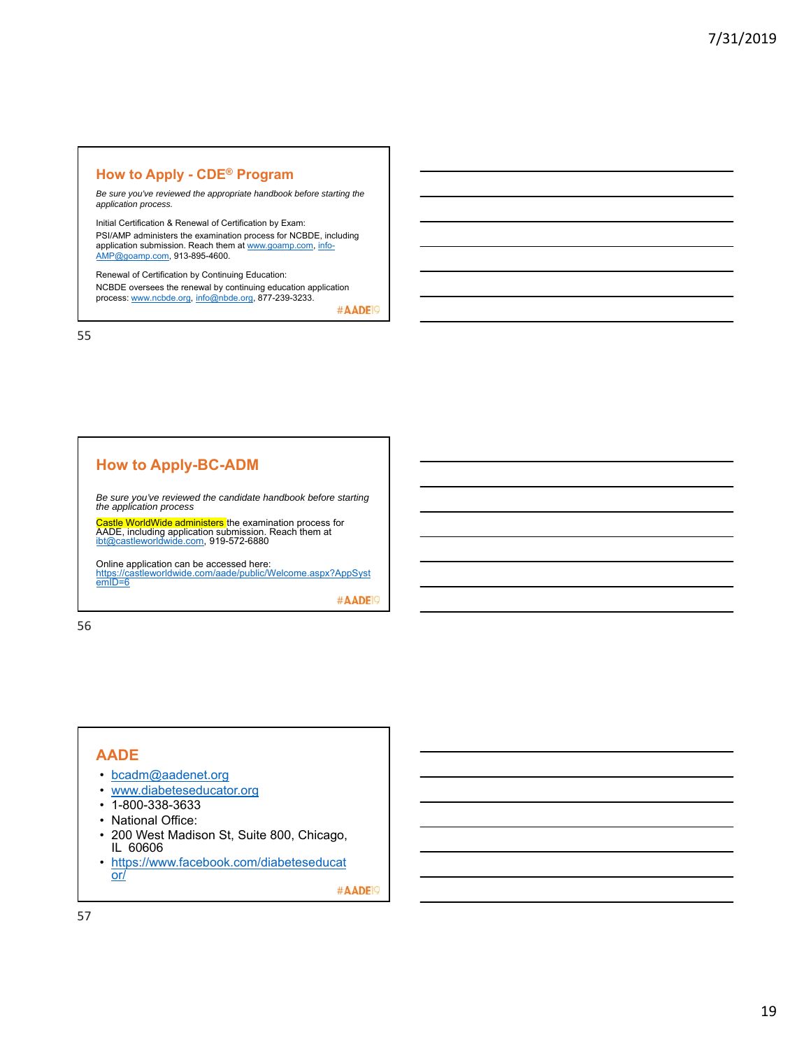## **How to Apply - CDE® Program**

*Be sure you've reviewed the appropriate handbook before starting the application process.* 

Initial Certification & Renewal of Certification by Exam: PSI/AMP administers the examination process for NCBDE, including application submission. Reach them at <u>www.goamp.com, info-</u><br><u>AMP@goamp.com</u>, 913-895-4600.

Renewal of Certification by Continuing Education: NCBDE oversees the renewal by continuing education application process: www.ncbde.org, info@nbde.org, 877-239-3233.

#AADE<sup>19</sup>

55

## **How to Apply-BC-ADM**

*Be sure you've reviewed the candidate handbook before starting the application process* 

<mark>Castle WorldWide administers t</mark>he examination process for<br>AADE, including application submission. Reach them at<br>ibt@castleworldwide.com, 919-572-6880

Online application can be accessed here:<br><u>https://castleworldwide.com/aade/public/Welcome.aspx?AppSyst</u> https://ca<br>emID=6

#AADE<sup>19</sup>

56

# **AADE**

- bcadm@aadenet.org
- www.diabeteseducator.org
- 1-800-338-3633
- National Office:
- 200 West Madison St, Suite 800, Chicago, IL 60606
- https://www.facebook.com/diabeteseducat or/